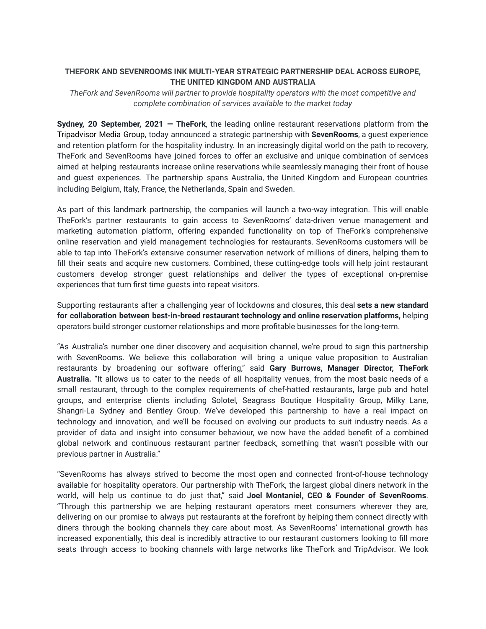# **THEFORK AND SEVENROOMS INK MULTI-YEAR STRATEGIC PARTNERSHIP DEAL ACROSS EUROPE, THE UNITED KINGDOM AND AUSTRALIA**

*TheFork and SevenRooms will partner to provide hospitality operators with the most competitive and complete combination of services available to the market today*

**Sydney, 20 September, 2021 — TheFork**, the leading online restaurant reservations platform from the Tripadvisor Media Group, today announced a strategic partnership with **SevenRooms**, a guest experience and retention platform for the hospitality industry. In an increasingly digital world on the path to recovery, TheFork and SevenRooms have joined forces to offer an exclusive and unique combination of services aimed at helping restaurants increase online reservations while seamlessly managing their front of house and guest experiences. The partnership spans Australia, the United Kingdom and European countries including Belgium, Italy, France, the Netherlands, Spain and Sweden.

As part of this landmark partnership, the companies will launch a two-way integration. This will enable TheFork's partner restaurants to gain access to SevenRooms' data-driven venue management and marketing automation platform, offering expanded functionality on top of TheFork's comprehensive online reservation and yield management technologies for restaurants. SevenRooms customers will be able to tap into TheFork's extensive consumer reservation network of millions of diners, helping them to fill their seats and acquire new customers. Combined, these cutting-edge tools will help joint restaurant customers develop stronger guest relationships and deliver the types of exceptional on-premise experiences that turn first time guests into repeat visitors.

Supporting restaurants after a challenging year of lockdowns and closures, this deal **sets a new standard for collaboration between best-in-breed restaurant technology and online reservation platforms,** helping operators build stronger customer relationships and more profitable businesses for the long-term.

"As Australia's number one diner discovery and acquisition channel, we're proud to sign this partnership with SevenRooms. We believe this collaboration will bring a unique value proposition to Australian restaurants by broadening our software offering," said **Gary Burrows, Manager Director, TheFork Australia.** "It allows us to cater to the needs of all hospitality venues, from the most basic needs of a small restaurant, through to the complex requirements of chef-hatted restaurants, large pub and hotel groups, and enterprise clients including Solotel, Seagrass Boutique Hospitality Group, Milky Lane, Shangri-La Sydney and Bentley Group. We've developed this partnership to have a real impact on technology and innovation, and we'll be focused on evolving our products to suit industry needs. As a provider of data and insight into consumer behaviour, we now have the added benefit of a combined global network and continuous restaurant partner feedback, something that wasn't possible with our previous partner in Australia."

"SevenRooms has always strived to become the most open and connected front-of-house technology available for hospitality operators. Our partnership with TheFork, the largest global diners network in the world, will help us continue to do just that," said **Joel Montaniel, CEO & Founder of SevenRooms**. "Through this partnership we are helping restaurant operators meet consumers wherever they are, delivering on our promise to always put restaurants at the forefront by helping them connect directly with diners through the booking channels they care about most. As SevenRooms' international growth has increased exponentially, this deal is incredibly attractive to our restaurant customers looking to fill more seats through access to booking channels with large networks like TheFork and TripAdvisor. We look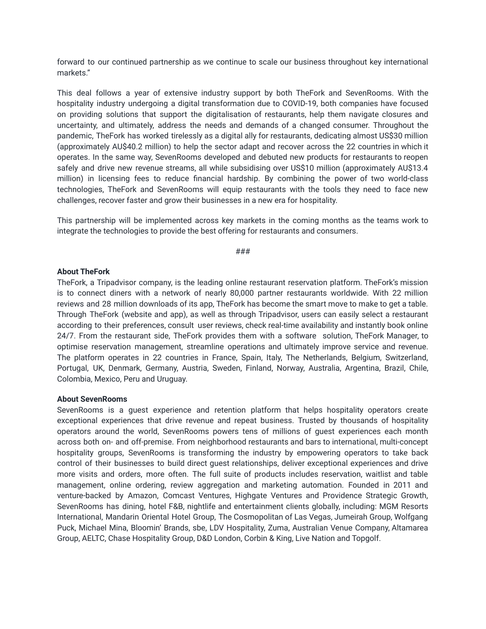forward to our continued partnership as we continue to scale our business throughout key international markets."

This deal follows a year of extensive industry support by both TheFork and SevenRooms. With the hospitality industry undergoing a digital transformation due to COVID-19, both companies have focused on providing solutions that support the digitalisation of restaurants, help them navigate closures and uncertainty, and ultimately, address the needs and demands of a changed consumer. Throughout the pandemic, TheFork has worked tirelessly as a digital ally for restaurants, dedicating almost US\$30 million (approximately AU\$40.2 million) to help the sector adapt and recover across the 22 countries in which it operates. In the same way, SevenRooms developed and debuted new products for restaurants to reopen safely and drive new revenue streams, all while subsidising over US\$10 million (approximately AU\$13.4 million) in licensing fees to reduce financial hardship. By combining the power of two world-class technologies, TheFork and SevenRooms will equip restaurants with the tools they need to face new challenges, recover faster and grow their businesses in a new era for hospitality.

This partnership will be implemented across key markets in the coming months as the teams work to integrate the technologies to provide the best offering for restaurants and consumers.

###

### **About TheFork**

TheFork, a Tripadvisor company, is the leading online restaurant reservation platform. TheFork's mission is to connect diners with a network of nearly 80,000 partner restaurants worldwide. With 22 million reviews and 28 million downloads of its app, TheFork has become the smart move to make to get a table. Through TheFork (website and app), as well as through Tripadvisor, users can easily select a restaurant according to their preferences, consult user reviews, check real-time availability and instantly book online 24/7. From the restaurant side, TheFork provides them with a software solution, TheFork Manager, to optimise reservation management, streamline operations and ultimately improve service and revenue. The platform operates in 22 countries in France, Spain, Italy, The Netherlands, Belgium, Switzerland, Portugal, UK, Denmark, Germany, Austria, Sweden, Finland, Norway, Australia, Argentina, Brazil, Chile, Colombia, Mexico, Peru and Uruguay.

## **About SevenRooms**

SevenRooms is a guest experience and retention platform that helps hospitality operators create exceptional experiences that drive revenue and repeat business. Trusted by thousands of hospitality operators around the world, SevenRooms powers tens of millions of guest experiences each month across both on- and off-premise. From neighborhood restaurants and bars to international, multi-concept hospitality groups, SevenRooms is transforming the industry by empowering operators to take back control of their businesses to build direct guest relationships, deliver exceptional experiences and drive more visits and orders, more often. The full suite of products includes reservation, waitlist and table management, online ordering, review aggregation and marketing automation. Founded in 2011 and venture-backed by Amazon, Comcast Ventures, Highgate Ventures and Providence Strategic Growth, SevenRooms has dining, hotel F&B, nightlife and entertainment clients globally, including: MGM Resorts International, Mandarin Oriental Hotel Group, The Cosmopolitan of Las Vegas, Jumeirah Group, Wolfgang Puck, Michael Mina, Bloomin' Brands, sbe, LDV Hospitality, Zuma, Australian Venue Company, Altamarea Group, AELTC, Chase Hospitality Group, D&D London, Corbin & King, Live Nation and Topgolf.